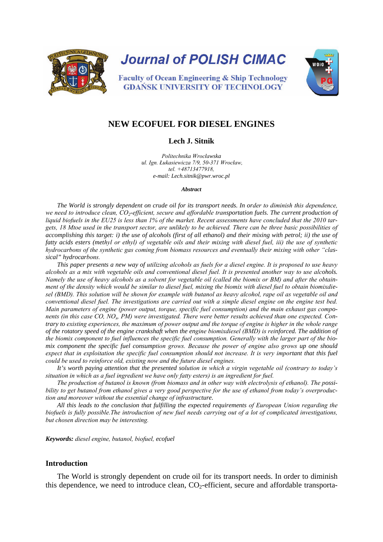

**Journal of POLISH CIMAC** 



**Faculty of Ocean Engineering & Ship Technology GDANSK UNIVERSITY OF TECHNOLOGY** 

# **NEW ECOFUEL FOR DIESEL ENGINES**

### **Lech J. Sitnik**

*Politechnika Wrocławska ul. Ign. Łukasiewicza 7/9, 50-371 Wrocław, tel. +48713477918, e-mail: Lech.sitnik@pwr.wroc.pl*

#### *Abstract*

*The World is strongly dependent on crude oil for its transport needs. In order to diminish this dependence, we need to introduce clean, CO2-efficient, secure and affordable transportation fuels. The current production of liquid biofuels in the EU25 is less than 1% of the market. Recent assessments have concluded that the 2010 targets, 18 Mtoe used in the transport sector, are unlikely to be achieved. There can be three basic possibilities of accomplishing this target: i) the use of alcohols (first of all ethanol) and their mixing with petrol; ii) the use of fatty acids esters (methyl or ethyl) of vegetable oils and their mixing with diesel fuel, iii) the use of synthetic hydrocarbons of the synthetic gas coming from biomass resources and eventually their mixing with other "classical" hydrocarbons.* 

*This paper presents a new way of utilizing alcohols as fuels for a diesel engine. It is proposed to use heavy alcohols as a mix with vegetable oils and conventional diesel fuel. It is presented another way to use alcohols. Namely the use of heavy alcohols as a solvent for vegetable oil (called the biomix or BM) and after the obtainment of the density which would be similar to diesel fuel, mixing the biomix with diesel fuel to obtain biomixdiesel (BMD). This solution will be shown for example with butanol as heavy alcohol, rape oil as vegetable oil and conventional diesel fuel. The investigations are carried out with a simple diesel engine on the engine test bed. Main parameters of engine (power output, torque, specific fuel consumption) and the main exhaust gas components (in this case CO, NOx, PM) were investigated. There were better results achieved than one expected. Contrary to existing experiences, the maximum of power output and the torque of engine is higher in the whole range of the rotatory speed of the engine crankshaft when the engine biomixdiesel (BMD) is reinforced. The addition of the biomix component to fuel influences the specific fuel consumption. Generally with the larger part of the biomix component the specific fuel consumption grows. Because the power of engine also grows up one should expect that in exploitation the specific fuel consumption should not increase. It is very important that this fuel could be used to reinforce old, existing now and the future diesel engines.* 

*It's worth paying attention that the presented solution in which a virgin vegetable oil (contrary to today's situation in which as a fuel ingredient we have only fatty esters) is an ingredient for fuel.*

*The production of butanol is known (from biomass and in other way with electrolysis of ethanol). The possibility to get butanol from ethanol gives a very good perspective for the use of ethanol from today's overproduction and moreover without the essential change of infrastructure.* 

*All this leads to the conclusion that fulfilling the expected requirements of European Union regarding the biofuels is fully possible.The introduction of new fuel needs carrying out of a lot of complicated investigations, but chosen direction may be interesting.*

*Keywords: diesel engine, butanol, biofuel, ecofuel*

#### **Introduction**

The World is strongly dependent on crude oil for its transport needs. In order to diminish this dependence, we need to introduce clean,  $CO<sub>2</sub>$ -efficient, secure and affordable transporta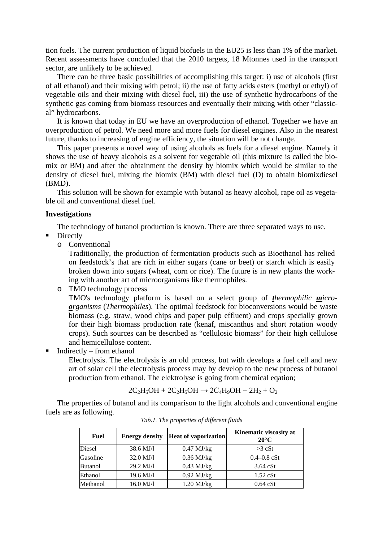tion fuels. The current production of liquid biofuels in the EU25 is less than 1% of the market. Recent assessments have concluded that the 2010 targets, 18 Mtonnes used in the transport sector, are unlikely to be achieved.

There can be three basic possibilities of accomplishing this target: i) use of alcohols (first of all ethanol) and their mixing with petrol; ii) the use of fatty acids esters (methyl or ethyl) of vegetable oils and their mixing with diesel fuel, iii) the use of synthetic hydrocarbons of the synthetic gas coming from biomass resources and eventually their mixing with other "classical" hydrocarbons.

It is known that today in EU we have an overproduction of ethanol. Together we have an overproduction of petrol. We need more and more fuels for diesel engines. Also in the nearest future, thanks to increasing of engine efficiency, the situation will be not change.

This paper presents a novel way of using alcohols as fuels for a diesel engine. Namely it shows the use of heavy alcohols as a solvent for vegetable oil (this mixture is called the biomix or BM) and after the obtainment the density by biomix which would be similar to the density of diesel fuel, mixing the biomix (BM) with diesel fuel (D) to obtain biomixdiesel (BMD).

This solution will be shown for example with butanol as heavy alcohol, rape oil as vegetable oil and conventional diesel fuel.

### **Investigations**

The technology of butanol production is known. There are three separated ways to use.

- Directly
	- o Conventional

Traditionally, the production of fermentation products such as Bioethanol has relied on feedstock's that are rich in either sugars (cane or beet) or starch which is easily broken down into sugars (wheat, corn or rice). The future is in new plants the working with another art of microorganisms like thermophiles.

o TMO technology process

TMO's technology platform is based on a select group of *thermophilic microorganisms* (*Thermophiles*). The optimal feedstock for bioconversions would be waste biomass (e.g. straw, wood chips and paper pulp effluent) and crops specially grown for their high biomass production rate (kenaf, miscanthus and short rotation woody crops). Such sources can be described as "cellulosic biomass" for their high cellulose and hemicellulose content.

Indirectly – from ethanol

Electrolysis. The electrolysis is an old process, but with develops a fuel cell and new art of solar cell the electrolysis process may by develop to the new process of butanol production from ethanol. The elektrolyse is going from chemical eqation;

 $2C_2H_5OH + 2C_2H_5OH \rightarrow 2C_4H_9OH + 2H_2 + O_2$ 

The properties of butanol and its comparison to the light alcohols and conventional engine fuels are as following.

| <b>Fuel</b>    | <b>Energy density</b> | <b>Heat of vaporization</b> | Kinematic viscosity at<br>$20^{\circ}$ C |
|----------------|-----------------------|-----------------------------|------------------------------------------|
| Diesel         | 38.6 MJ/l             | $0,47$ MJ/kg                | $>3$ cSt                                 |
| Gasoline       | $32.0$ MJ/1           | $0.36$ MJ/kg                | $0.4 - 0.8$ cSt                          |
| <b>Butanol</b> | 29.2 MJ/l             | $0.43$ MJ/kg                | $3.64$ cSt                               |
| Ethanol        | 19.6 MJ/l             | $0.92$ MJ/kg                | $1.52$ cSt                               |
| Methanol       | 16.0 MJ/l             | $1.20$ MJ/kg                | $0.64$ cSt                               |

*Tab.1. The properties of different fluids*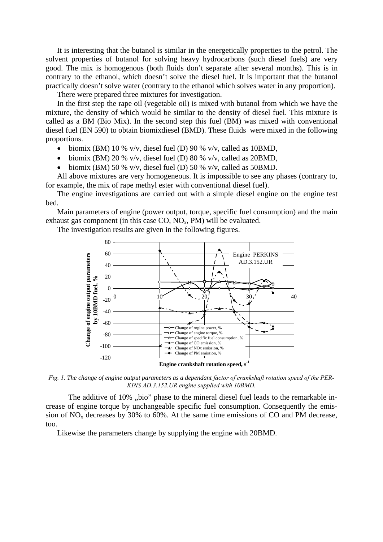It is interesting that the butanol is similar in the energetically properties to the petrol. The solvent properties of butanol for solving heavy hydrocarbons (such diesel fuels) are very good. The mix is homogenous (both fluids don't separate after several months). This is in contrary to the ethanol, which doesn't solve the diesel fuel. It is important that the butanol practically doesn't solve water (contrary to the ethanol which solves water in any proportion).

There were prepared three mixtures for investigation.

In the first step the rape oil (vegetable oil) is mixed with butanol from which we have the mixture, the density of which would be similar to the density of diesel fuel. This mixture is called as a BM (Bio Mix). In the second step this fuel (BM) was mixed with conventional diesel fuel (EN 590) to obtain biomixdiesel (BMD). These fluids were mixed in the following proportions.

- biomix (BM) 10 % v/v, diesel fuel (D) 90 % v/v, called as 10BMD,
- biomix (BM) 20 % v/v, diesel fuel (D) 80 % v/v, called as 20BMD,
- biomix (BM) 50 % v/v, diesel fuel (D) 50 % v/v, called as 50 BMD.

All above mixtures are very homogeneous. It is impossible to see any phases (contrary to, for example, the mix of rape methyl ester with conventional diesel fuel).

The engine investigations are carried out with a simple diesel engine on the engine test bed.

Main parameters of engine (power output, torque, specific fuel consumption) and the main exhaust gas component (in this case  $CO$ ,  $NO<sub>x</sub>$ ,  $PM$ ) will be evaluated.

The investigation results are given in the following figures.



*Fig. 1. The change of engine output parameters as a dependant factor of crankshaft rotation speed of the PER-KINS AD.3.152.UR engine supplied with 10BMD.* 

The additive of 10%, bio" phase to the mineral diesel fuel leads to the remarkable increase of engine torque by unchangeable specific fuel consumption. Consequently the emission of  $NO<sub>x</sub>$  decreases by 30% to 60%. At the same time emissions of CO and PM decrease, too.

Likewise the parameters change by supplying the engine with 20BMD.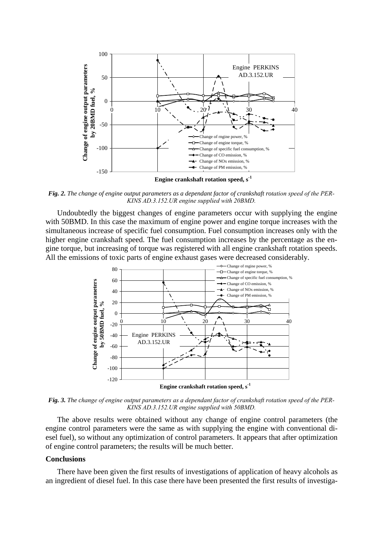

**Engine crankshaft rotation speed, s-1**

Fig. 2. The change of engine output parameters as a dependant factor of crankshaft rotation speed of the PER-*KINS AD.3.152.UR engine supplied with 20BMD.*

Undoubtedly the biggest changes of engine parameters occur with supplying the engine with 50BMD. In this case the maximum of engine power and engine torque increases with the simultaneous increase of specific fuel consumption. Fuel consumption increases only with the higher engine crankshaft speed. The fuel consumption increases by the percentage as the engine torque, but increasing of torque was registered with all engine crankshaft rotation speeds. All the emissions of toxic parts of engine exhaust gases were decreased considerably.



*Fig. 3. The change of engine output parameters as a dependant factor of crankshaft rotation speed of the PER-KINS AD.3.152.UR engine supplied with 50BMD.*

The above results were obtained without any change of engine control parameters (the engine control parameters were the same as with supplying the engine with conventional diesel fuel), so without any optimization of control parameters. It appears that after optimization of engine control parameters; the results will be much better.

## **Conclusions**

There have been given the first results of investigations of application of heavy alcohols as an ingredient of diesel fuel. In this case there have been presented the first results of investiga